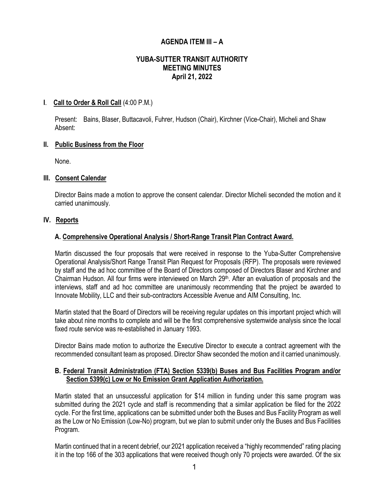# **AGENDA ITEM III – A**

## **YUBA-SUTTER TRANSIT AUTHORITY MEETING MINUTES April 21, 2022**

### **I**. **Call to Order & Roll Call** (4:00 P.M.)

Present: Bains, Blaser, Buttacavoli, Fuhrer, Hudson (Chair), Kirchner (Vice-Chair), Micheli and Shaw Absent:

### **II. Public Business from the Floor**

None.

### **III. Consent Calendar**

Director Bains made a motion to approve the consent calendar. Director Micheli seconded the motion and it carried unanimously.

### **IV. Reports**

### **A. Comprehensive Operational Analysis / Short-Range Transit Plan Contract Award.**

Martin discussed the four proposals that were received in response to the Yuba-Sutter Comprehensive Operational Analysis/Short Range Transit Plan Request for Proposals (RFP). The proposals were reviewed by staff and the ad hoc committee of the Board of Directors composed of Directors Blaser and Kirchner and Chairman Hudson. All four firms were interviewed on March 29th. After an evaluation of proposals and the interviews, staff and ad hoc committee are unanimously recommending that the project be awarded to Innovate Mobility, LLC and their sub-contractors Accessible Avenue and AIM Consulting, Inc.

Martin stated that the Board of Directors will be receiving regular updates on this important project which will take about nine months to complete and will be the first comprehensive systemwide analysis since the local fixed route service was re-established in January 1993.

Director Bains made motion to authorize the Executive Director to execute a contract agreement with the recommended consultant team as proposed. Director Shaw seconded the motion and it carried unanimously.

### **B. Federal Transit Administration (FTA) Section 5339(b) Buses and Bus Facilities Program and/or Section 5399(c) Low or No Emission Grant Application Authorization.**

Martin stated that an unsuccessful application for \$14 million in funding under this same program was submitted during the 2021 cycle and staff is recommending that a similar application be filed for the 2022 cycle. For the first time, applications can be submitted under both the Buses and Bus Facility Program as well as the Low or No Emission (Low-No) program, but we plan to submit under only the Buses and Bus Facilities Program.

Martin continued that in a recent debrief, our 2021 application received a "highly recommended" rating placing it in the top 166 of the 303 applications that were received though only 70 projects were awarded. Of the six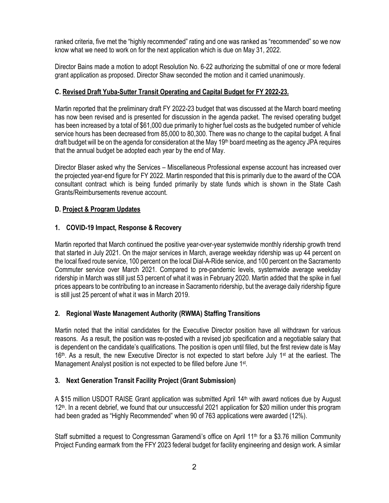ranked criteria, five met the "highly recommended" rating and one was ranked as "recommended" so we now know what we need to work on for the next application which is due on May 31, 2022.

Director Bains made a motion to adopt Resolution No. 6-22 authorizing the submittal of one or more federal grant application as proposed. Director Shaw seconded the motion and it carried unanimously.

## **C. Revised Draft Yuba-Sutter Transit Operating and Capital Budget for FY 2022-23.**

Martin reported that the preliminary draft FY 2022-23 budget that was discussed at the March board meeting has now been revised and is presented for discussion in the agenda packet. The revised operating budget has been increased by a total of \$61,000 due primarily to higher fuel costs as the budgeted number of vehicle service hours has been decreased from 85,000 to 80,300. There was no change to the capital budget. A final draft budget will be on the agenda for consideration at the May 19th board meeting as the agency JPA requires that the annual budget be adopted each year by the end of May.

Director Blaser asked why the Services – Miscellaneous Professional expense account has increased over the projected year-end figure for FY 2022. Martin responded that this is primarily due to the award of the COA consultant contract which is being funded primarily by state funds which is shown in the State Cash Grants/Reimbursements revenue account.

## **D. Project & Program Updates**

## **1. COVID-19 Impact, Response & Recovery**

Martin reported that March continued the positive year-over-year systemwide monthly ridership growth trend that started in July 2021. On the major services in March, average weekday ridership was up 44 percent on the local fixed route service, 100 percent on the local Dial-A-Ride service, and 100 percent on the Sacramento Commuter service over March 2021. Compared to pre-pandemic levels, systemwide average weekday ridership in March was still just 53 percent of what it was in February 2020. Martin added that the spike in fuel prices appears to be contributing to an increase in Sacramento ridership, but the average daily ridership figure is still just 25 percent of what it was in March 2019.

## **2. Regional Waste Management Authority (RWMA) Staffing Transitions**

Martin noted that the initial candidates for the Executive Director position have all withdrawn for various reasons. As a result, the position was re-posted with a revised job specification and a negotiable salary that is dependent on the candidate's qualifications. The position is open until filled, but the first review date is May 16<sup>th</sup>. As a result, the new Executive Director is not expected to start before July 1<sup>st</sup> at the earliest. The Management Analyst position is not expected to be filled before June 1st.

## **3. Next Generation Transit Facility Project (Grant Submission)**

A \$15 million USDOT RAISE Grant application was submitted April 14th with award notices due by August 12<sup>th</sup>. In a recent debrief, we found that our unsuccessful 2021 application for \$20 million under this program had been graded as "Highly Recommended" when 90 of 763 applications were awarded (12%).

Staff submitted a request to Congressman Garamendi's office on April 11<sup>th</sup> for a \$3.76 million Community Project Funding earmark from the FFY 2023 federal budget for facility engineering and design work. A similar